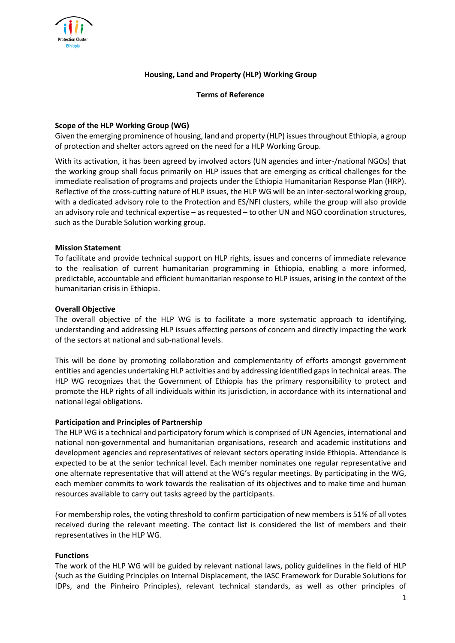

## **Housing, Land and Property (HLP) Working Group**

**Terms of Reference**

### **Scope of the HLP Working Group (WG)**

Given the emerging prominence of housing, land and property (HLP) issues throughout Ethiopia, a group of protection and shelter actors agreed on the need for a HLP Working Group.

With its activation, it has been agreed by involved actors (UN agencies and inter-/national NGOs) that the working group shall focus primarily on HLP issues that are emerging as critical challenges for the immediate realisation of programs and projects under the Ethiopia Humanitarian Response Plan (HRP). Reflective of the cross-cutting nature of HLP issues, the HLP WG will be an inter-sectoral working group, with a dedicated advisory role to the Protection and ES/NFI clusters, while the group will also provide an advisory role and technical expertise – as requested – to other UN and NGO coordination structures, such as the Durable Solution working group.

## **Mission Statement**

To facilitate and provide technical support on HLP rights, issues and concerns of immediate relevance to the realisation of current humanitarian programming in Ethiopia, enabling a more informed, predictable, accountable and efficient humanitarian response to HLP issues, arising in the context of the humanitarian crisis in Ethiopia.

#### **Overall Objective**

The overall objective of the HLP WG is to facilitate a more systematic approach to identifying, understanding and addressing HLP issues affecting persons of concern and directly impacting the work of the sectors at national and sub-national levels.

This will be done by promoting collaboration and complementarity of efforts amongst government entities and agencies undertaking HLP activities and by addressing identified gaps in technical areas. The HLP WG recognizes that the Government of Ethiopia has the primary responsibility to protect and promote the HLP rights of all individuals within its jurisdiction, in accordance with its international and national legal obligations.

#### **Participation and Principles of Partnership**

The HLP WG is a technical and participatory forum which is comprised of UN Agencies, international and national non-governmental and humanitarian organisations, research and academic institutions and development agencies and representatives of relevant sectors operating inside Ethiopia. Attendance is expected to be at the senior technical level. Each member nominates one regular representative and one alternate representative that will attend at the WG's regular meetings. By participating in the WG, each member commits to work towards the realisation of its objectives and to make time and human resources available to carry out tasks agreed by the participants.

For membership roles, the voting threshold to confirm participation of new members is 51% of all votes received during the relevant meeting. The contact list is considered the list of members and their representatives in the HLP WG.

#### **Functions**

The work of the HLP WG will be guided by relevant national laws, policy guidelines in the field of HLP (such as the Guiding Principles on Internal Displacement, the IASC Framework for Durable Solutions for IDPs, and the Pinheiro Principles), relevant technical standards, as well as other principles of